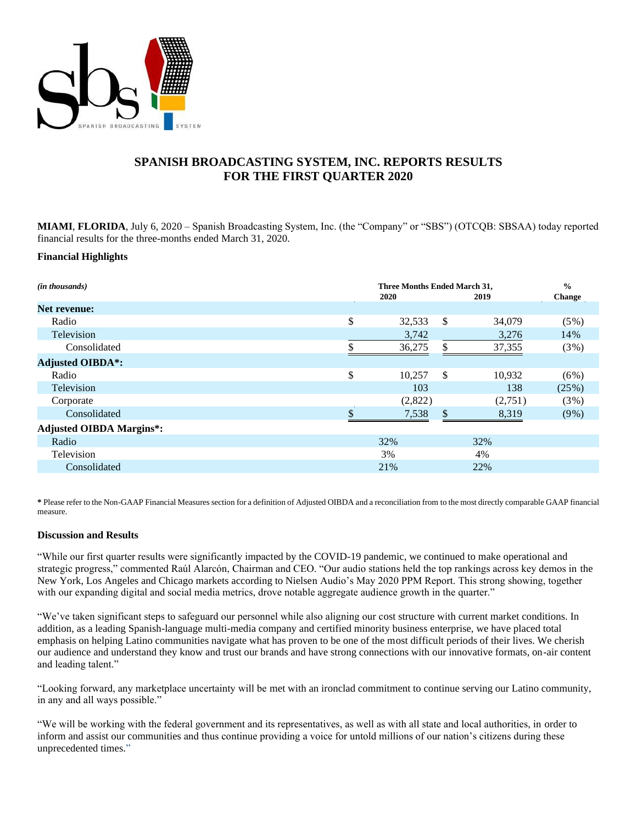

# **SPANISH BROADCASTING SYSTEM, INC. REPORTS RESULTS FOR THE FIRST QUARTER 2020**

**MIAMI**, **FLORIDA**, July 6, 2020 – Spanish Broadcasting System, Inc. (the "Company" or "SBS") (OTCQB: SBSAA) today reported financial results for the three-months ended March 31, 2020.

### **Financial Highlights**

| Three Months Ended March 31, |         |    |         | $\frac{0}{0}$ |
|------------------------------|---------|----|---------|---------------|
|                              | 2020    |    | 2019    | <b>Change</b> |
|                              |         |    |         |               |
| \$                           | 32,533  | \$ | 34,079  | $(5\%)$       |
|                              | 3,742   |    | 3,276   | 14%           |
| \$                           | 36,275  | \$ | 37,355  | (3%)          |
|                              |         |    |         |               |
| \$                           | 10,257  | \$ | 10,932  | (6%)          |
|                              | 103     |    | 138     | (25%)         |
|                              | (2,822) |    | (2,751) | (3%)          |
| $\Phi$                       | 7,538   | \$ | 8,319   | $(9\%)$       |
|                              |         |    |         |               |
|                              | 32%     |    | 32%     |               |
|                              | 3%      |    | 4%      |               |
|                              | 21%     |    | 22%     |               |
|                              |         |    |         |               |

**\*** Please refer to the Non-GAAP Financial Measures section for a definition of Adjusted OIBDA and a reconciliation from to the most directly comparable GAAP financial measure.

#### **Discussion and Results**

"While our first quarter results were significantly impacted by the COVID-19 pandemic, we continued to make operational and strategic progress," commented Raúl Alarcón, Chairman and CEO. "Our audio stations held the top rankings across key demos in the New York, Los Angeles and Chicago markets according to Nielsen Audio's May 2020 PPM Report. This strong showing, together with our expanding digital and social media metrics, drove notable aggregate audience growth in the quarter."

"We've taken significant steps to safeguard our personnel while also aligning our cost structure with current market conditions. In addition, as a leading Spanish-language multi-media company and certified minority business enterprise, we have placed total emphasis on helping Latino communities navigate what has proven to be one of the most difficult periods of their lives. We cherish our audience and understand they know and trust our brands and have strong connections with our innovative formats, on-air content and leading talent."

"Looking forward, any marketplace uncertainty will be met with an ironclad commitment to continue serving our Latino community, in any and all ways possible."

"We will be working with the federal government and its representatives, as well as with all state and local authorities, in order to inform and assist our communities and thus continue providing a voice for untold millions of our nation's citizens during these unprecedented times."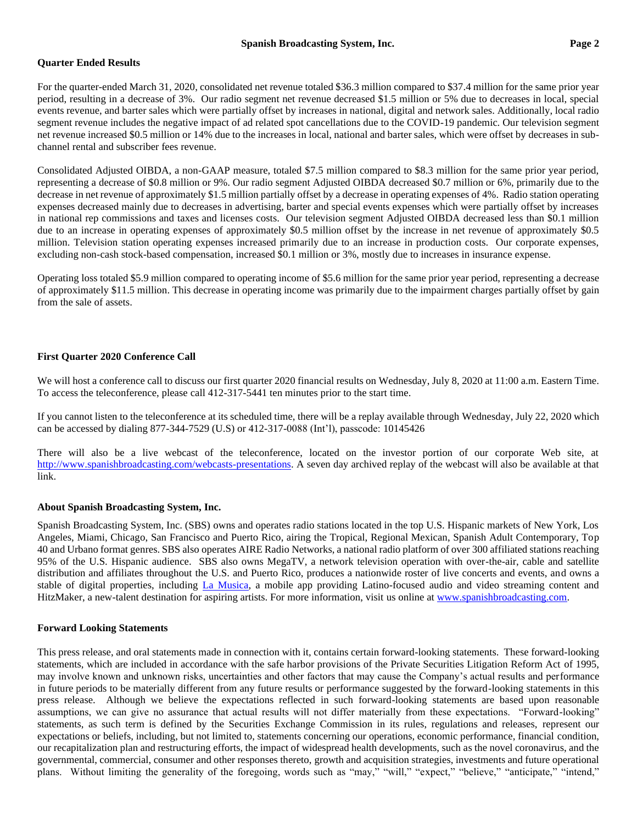## **Quarter Ended Results**

For the quarter-ended March 31, 2020, consolidated net revenue totaled \$36.3 million compared to \$37.4 million for the same prior year period, resulting in a decrease of 3%. Our radio segment net revenue decreased \$1.5 million or 5% due to decreases in local, special events revenue, and barter sales which were partially offset by increases in national, digital and network sales. Additionally, local radio segment revenue includes the negative impact of ad related spot cancellations due to the COVID-19 pandemic. Our television segment net revenue increased \$0.5 million or 14% due to the increases in local, national and barter sales, which were offset by decreases in subchannel rental and subscriber fees revenue.

Consolidated Adjusted OIBDA, a non-GAAP measure, totaled \$7.5 million compared to \$8.3 million for the same prior year period, representing a decrease of \$0.8 million or 9%. Our radio segment Adjusted OIBDA decreased \$0.7 million or 6%, primarily due to the decrease in net revenue of approximately \$1.5 million partially offset by a decrease in operating expenses of 4%. Radio station operating expenses decreased mainly due to decreases in advertising, barter and special events expenses which were partially offset by increases in national rep commissions and taxes and licenses costs. Our television segment Adjusted OIBDA decreased less than \$0.1 million due to an increase in operating expenses of approximately \$0.5 million offset by the increase in net revenue of approximately \$0.5 million. Television station operating expenses increased primarily due to an increase in production costs. Our corporate expenses, excluding non-cash stock-based compensation, increased \$0.1 million or 3%, mostly due to increases in insurance expense.

Operating loss totaled \$5.9 million compared to operating income of \$5.6 million for the same prior year period, representing a decrease of approximately \$11.5 million. This decrease in operating income was primarily due to the impairment charges partially offset by gain from the sale of assets.

## **First Quarter 2020 Conference Call**

We will host a conference call to discuss our first quarter 2020 financial results on Wednesday, July 8, 2020 at 11:00 a.m. Eastern Time. To access the teleconference, please call 412-317-5441 ten minutes prior to the start time.

If you cannot listen to the teleconference at its scheduled time, there will be a replay available through Wednesday, July 22, 2020 which can be accessed by dialing 877-344-7529 (U.S) or 412-317-0088 (Int'l), passcode: 10145426

There will also be a live webcast of the teleconference, located on the investor portion of our corporate Web site, at [http://www.spanishbroadcasting.com/webcasts-presentations.](http://www.spanishbroadcasting.com/webcasts-presentations) A seven day archived replay of the webcast will also be available at that link.

# **About Spanish Broadcasting System, Inc.**

Spanish Broadcasting System, Inc. (SBS) owns and operates radio stations located in the top U.S. Hispanic markets of New York, Los Angeles, Miami, Chicago, San Francisco and Puerto Rico, airing the Tropical, Regional Mexican, Spanish Adult Contemporary, Top 40 and Urbano format genres. SBS also operates AIRE Radio Networks, a national radio platform of over 300 affiliated stations reaching 95% of the U.S. Hispanic audience. SBS also owns MegaTV, a network television operation with over-the-air, cable and satellite distribution and affiliates throughout the U.S. and Puerto Rico, produces a nationwide roster of live concerts and events, and owns a stable of digital properties, including [La Musica,](http://www.lamusica.com/) a mobile app providing Latino-focused audio and video streaming content and HitzMaker, a new-talent destination for aspiring artists. For more information, visit us online at [www.spanishbroadcasting.com.](http://www.spanishbroadcasting.com/)

## **Forward Looking Statements**

This press release, and oral statements made in connection with it, contains certain forward-looking statements. These forward-looking statements, which are included in accordance with the safe harbor provisions of the Private Securities Litigation Reform Act of 1995, may involve known and unknown risks, uncertainties and other factors that may cause the Company's actual results and performance in future periods to be materially different from any future results or performance suggested by the forward-looking statements in this press release. Although we believe the expectations reflected in such forward-looking statements are based upon reasonable assumptions, we can give no assurance that actual results will not differ materially from these expectations. "Forward-looking" statements, as such term is defined by the Securities Exchange Commission in its rules, regulations and releases, represent our expectations or beliefs, including, but not limited to, statements concerning our operations, economic performance, financial condition, our recapitalization plan and restructuring efforts, the impact of widespread health developments, such as the novel coronavirus, and the governmental, commercial, consumer and other responses thereto, growth and acquisition strategies, investments and future operational plans. Without limiting the generality of the foregoing, words such as "may," "will," "expect," "believe," "anticipate," "intend,"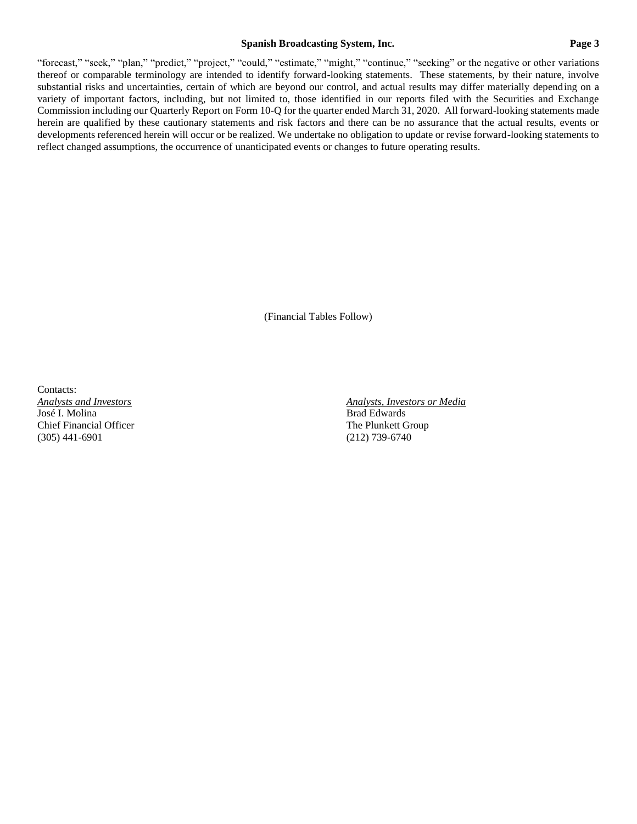### **Spanish Broadcasting System, Inc. Page 3**

"forecast," "seek," "plan," "predict," "project," "could," "estimate," "might," "continue," "seeking" or the negative or other variations thereof or comparable terminology are intended to identify forward-looking statements. These statements, by their nature, involve substantial risks and uncertainties, certain of which are beyond our control, and actual results may differ materially depending on a variety of important factors, including, but not limited to, those identified in our reports filed with the Securities and Exchange Commission including our Quarterly Report on Form 10-Q for the quarter ended March 31, 2020. All forward-looking statements made herein are qualified by these cautionary statements and risk factors and there can be no assurance that the actual results, events or developments referenced herein will occur or be realized. We undertake no obligation to update or revise forward-looking statements to reflect changed assumptions, the occurrence of unanticipated events or changes to future operating results.

(Financial Tables Follow)

Contacts:<br>Analysts and Investors Chief Financial Officer The Plunkett Group (305) 441-6901 (212) 739-6740

*Analysts and Investors Analysts, Investors or Media* Brad Edwards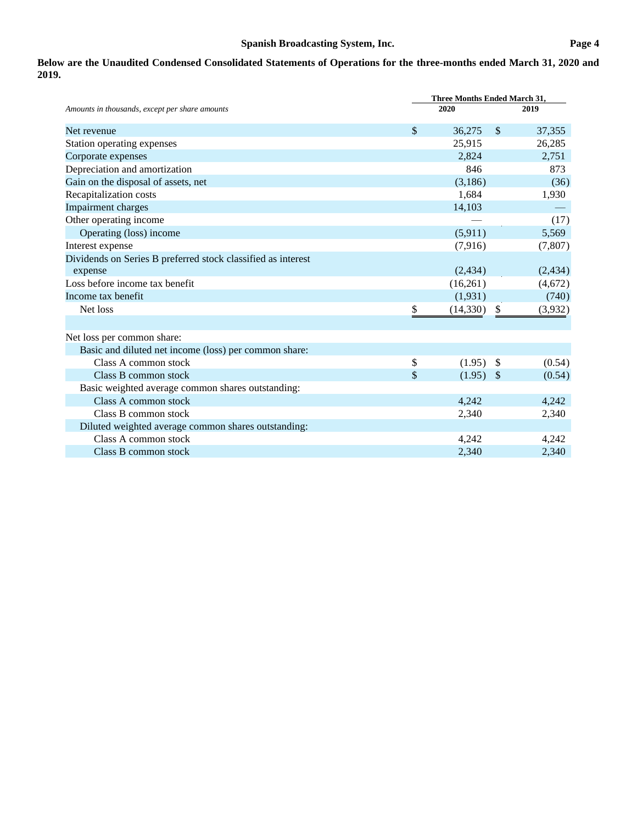# **Below are the Unaudited Condensed Consolidated Statements of Operations for the three-months ended March 31, 2020 and 2019.**

|                                                              | Three Months Ended March 31, |              |          |  |  |  |
|--------------------------------------------------------------|------------------------------|--------------|----------|--|--|--|
| Amounts in thousands, except per share amounts               | 2020                         |              | 2019     |  |  |  |
| Net revenue                                                  | \$<br>36,275                 | $\mathbb{S}$ | 37,355   |  |  |  |
| Station operating expenses                                   | 25,915                       |              | 26,285   |  |  |  |
| Corporate expenses                                           | 2.824                        |              | 2,751    |  |  |  |
| Depreciation and amortization                                | 846                          |              | 873      |  |  |  |
| Gain on the disposal of assets, net                          | (3,186)                      |              | (36)     |  |  |  |
| Recapitalization costs                                       | 1,684                        |              | 1,930    |  |  |  |
| Impairment charges                                           | 14,103                       |              |          |  |  |  |
| Other operating income                                       |                              |              | (17)     |  |  |  |
| Operating (loss) income                                      | (5,911)                      |              | 5,569    |  |  |  |
| Interest expense                                             | (7,916)                      |              | (7, 807) |  |  |  |
| Dividends on Series B preferred stock classified as interest |                              |              |          |  |  |  |
| expense                                                      | (2, 434)                     |              | (2, 434) |  |  |  |
| Loss before income tax benefit                               | (16,261)                     |              | (4,672)  |  |  |  |
| Income tax benefit                                           | (1,931)                      |              | (740)    |  |  |  |
| Net loss                                                     | \$<br>(14, 330)              | \$           | (3,932)  |  |  |  |
|                                                              |                              |              |          |  |  |  |
| Net loss per common share:                                   |                              |              |          |  |  |  |
| Basic and diluted net income (loss) per common share:        |                              |              |          |  |  |  |
| Class A common stock                                         | \$<br>(1.95)                 | -S           | (0.54)   |  |  |  |
| Class B common stock                                         | \$<br>(1.95)                 | - \$         | (0.54)   |  |  |  |
| Basic weighted average common shares outstanding:            |                              |              |          |  |  |  |
| Class A common stock                                         | 4.242                        |              | 4,242    |  |  |  |
| Class B common stock                                         | 2,340                        |              | 2,340    |  |  |  |
| Diluted weighted average common shares outstanding:          |                              |              |          |  |  |  |
| Class A common stock                                         | 4,242                        |              | 4,242    |  |  |  |
| Class B common stock                                         | 2,340                        |              | 2,340    |  |  |  |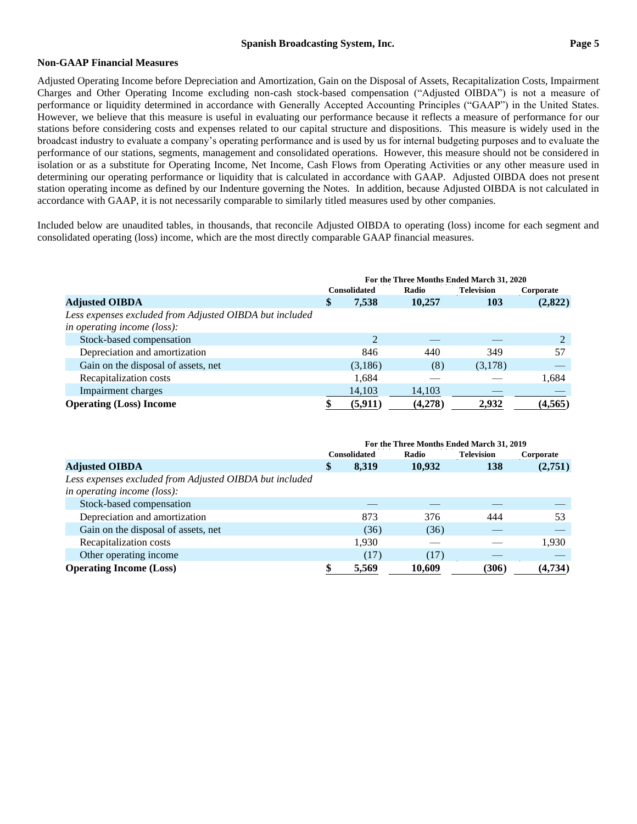### **Non-GAAP Financial Measures**

Adjusted Operating Income before Depreciation and Amortization, Gain on the Disposal of Assets, Recapitalization Costs, Impairment Charges and Other Operating Income excluding non-cash stock-based compensation ("Adjusted OIBDA") is not a measure of performance or liquidity determined in accordance with Generally Accepted Accounting Principles ("GAAP") in the United States. However, we believe that this measure is useful in evaluating our performance because it reflects a measure of performance for our stations before considering costs and expenses related to our capital structure and dispositions. This measure is widely used in the broadcast industry to evaluate a company's operating performance and is used by us for internal budgeting purposes and to evaluate the performance of our stations, segments, management and consolidated operations. However, this measure should not be considered in isolation or as a substitute for Operating Income, Net Income, Cash Flows from Operating Activities or any other measure used in determining our operating performance or liquidity that is calculated in accordance with GAAP. Adjusted OIBDA does not present station operating income as defined by our Indenture governing the Notes. In addition, because Adjusted OIBDA is not calculated in accordance with GAAP, it is not necessarily comparable to similarly titled measures used by other companies.

Included below are unaudited tables, in thousands, that reconcile Adjusted OIBDA to operating (loss) income for each segment and consolidated operating (loss) income, which are the most directly comparable GAAP financial measures.

|                                                         | For the Three Months Ended March 31, 2020 |          |         |         |           |
|---------------------------------------------------------|-------------------------------------------|----------|---------|---------|-----------|
|                                                         | <b>Consolidated</b>                       |          | Radio   |         | Corporate |
| <b>Adjusted OIBDA</b>                                   | Φ                                         | 7,538    | 10,257  | 103     | (2,822)   |
| Less expenses excluded from Adjusted OIBDA but included |                                           |          |         |         |           |
| in operating income (loss):                             |                                           |          |         |         |           |
| Stock-based compensation                                |                                           | 2        |         |         |           |
| Depreciation and amortization                           |                                           | 846      | 440     | 349     | 57        |
| Gain on the disposal of assets, net                     |                                           | (3,186)  | (8)     | (3,178) |           |
| Recapitalization costs                                  |                                           | 1.684    |         |         | 1,684     |
| Impairment charges                                      |                                           | 14,103   | 14,103  |         |           |
| <b>Operating (Loss) Income</b>                          |                                           | (5, 911) | (4,278) | 2.932   | (4,565)   |

|                                                                                        | For the Three Months Ended March 31, 2019 |       |        |                   |           |
|----------------------------------------------------------------------------------------|-------------------------------------------|-------|--------|-------------------|-----------|
|                                                                                        | <b>Consolidated</b>                       |       | Radio  | <b>Television</b> | Corporate |
| <b>Adjusted OIBDA</b>                                                                  | \$                                        | 8,319 | 10,932 | 138               | (2,751)   |
| Less expenses excluded from Adjusted OIBDA but included<br>in operating income (loss): |                                           |       |        |                   |           |
| Stock-based compensation                                                               |                                           |       |        |                   |           |
| Depreciation and amortization                                                          |                                           | 873   | 376    | 444               | 53        |
| Gain on the disposal of assets, net                                                    |                                           | (36)  | (36)   |                   |           |
| Recapitalization costs                                                                 |                                           | 1,930 |        |                   | 1,930     |
| Other operating income                                                                 |                                           | (17)  | (17)   |                   |           |
| <b>Operating Income (Loss)</b>                                                         |                                           | 5,569 | 10,609 | (306)             | (4,734)   |